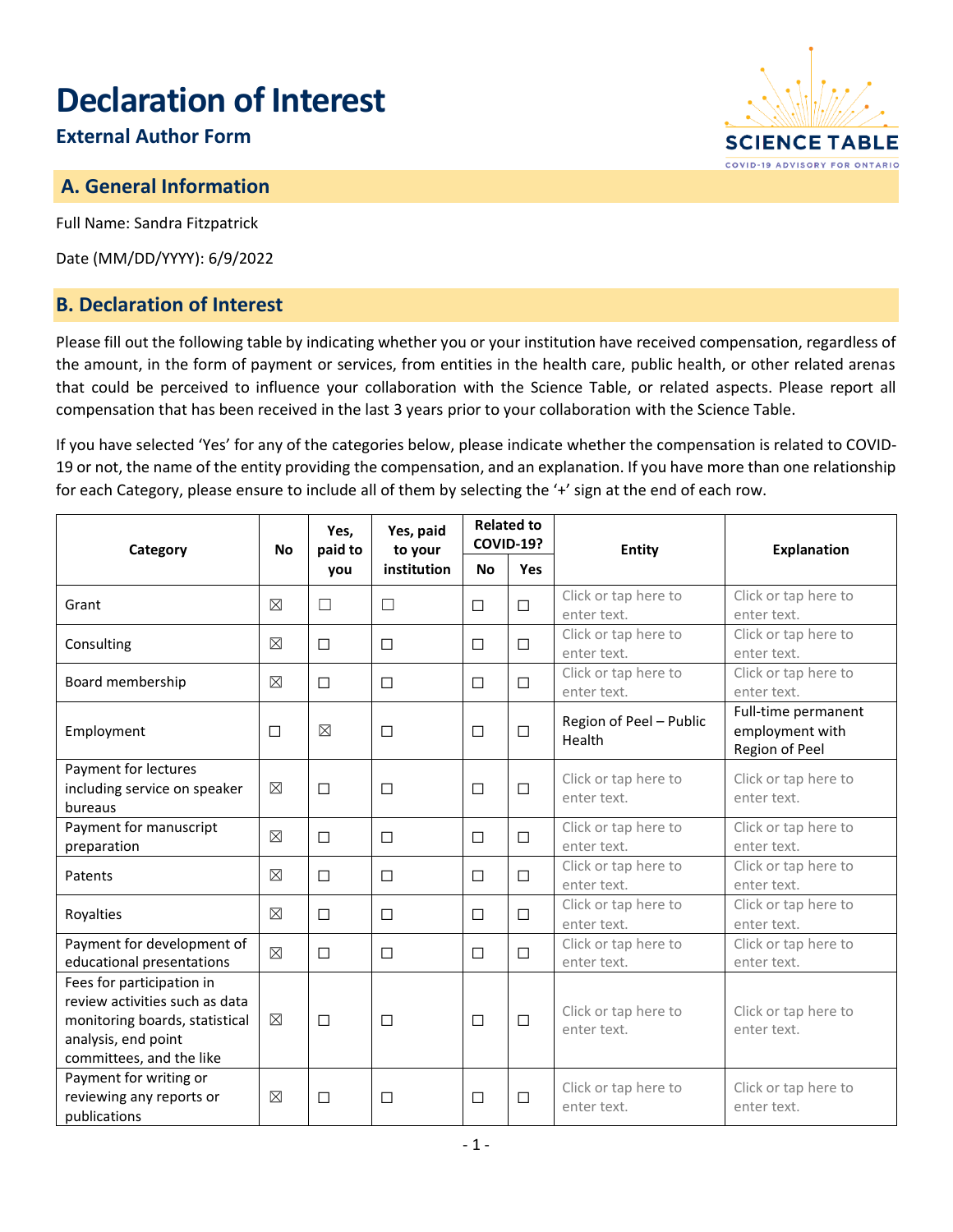# **Declaration of Interest**

## **External Author Form**

## **A. General Information**

Full Name: Sandra Fitzpatrick

Date (MM/DD/YYYY): 6/9/2022

#### **B. Declaration of Interest**

Please fill out the following table by indicating whether you or your institution have received compensation, regardless of the amount, in the form of payment or services, from entities in the health care, public health, or other related arenas that could be perceived to influence your collaboration with the Science Table, or related aspects. Please report all compensation that has been received in the last 3 years prior to your collaboration with the Science Table.

If you have selected 'Yes' for any of the categories below, please indicate whether the compensation is related to COVID-19 or not, the name of the entity providing the compensation, and an explanation. If you have more than one relationship for each Category, please ensure to include all of them by selecting the '+' sign at the end of each row.

| Category                                                                                                                                         | <b>No</b>   | Yes,<br>paid to<br>you | Yes, paid<br>to your<br>institution | <b>Related to</b><br><b>COVID-19?</b> |            | <b>Entity</b>                       | <b>Explanation</b>                                       |
|--------------------------------------------------------------------------------------------------------------------------------------------------|-------------|------------------------|-------------------------------------|---------------------------------------|------------|-------------------------------------|----------------------------------------------------------|
|                                                                                                                                                  |             |                        |                                     | <b>No</b>                             | <b>Yes</b> |                                     |                                                          |
| Grant                                                                                                                                            | $\boxtimes$ | П                      | П                                   | $\Box$                                | $\Box$     | Click or tap here to<br>enter text. | Click or tap here to<br>enter text.                      |
| Consulting                                                                                                                                       | $\boxtimes$ | □                      | $\Box$                              | $\Box$                                | $\Box$     | Click or tap here to<br>enter text. | Click or tap here to<br>enter text.                      |
| Board membership                                                                                                                                 | $\boxtimes$ | $\Box$                 | $\Box$                              | $\Box$                                | $\Box$     | Click or tap here to<br>enter text. | Click or tap here to<br>enter text.                      |
| Employment                                                                                                                                       | □           | $\boxtimes$            | □                                   | $\Box$                                | $\Box$     | Region of Peel - Public<br>Health   | Full-time permanent<br>employment with<br>Region of Peel |
| Payment for lectures<br>including service on speaker<br>bureaus                                                                                  | ⊠           | □                      | □                                   | $\Box$                                | $\Box$     | Click or tap here to<br>enter text. | Click or tap here to<br>enter text.                      |
| Payment for manuscript<br>preparation                                                                                                            | $\boxtimes$ | $\Box$                 | $\Box$                              | $\Box$                                | $\Box$     | Click or tap here to<br>enter text. | Click or tap here to<br>enter text.                      |
| Patents                                                                                                                                          | $\boxtimes$ | $\Box$                 | $\Box$                              | $\Box$                                | $\Box$     | Click or tap here to<br>enter text. | Click or tap here to<br>enter text.                      |
| Royalties                                                                                                                                        | $\boxtimes$ | $\Box$                 | $\Box$                              | $\Box$                                | $\Box$     | Click or tap here to<br>enter text. | Click or tap here to<br>enter text.                      |
| Payment for development of<br>educational presentations                                                                                          | $\boxtimes$ | $\Box$                 | $\Box$                              | $\Box$                                | $\Box$     | Click or tap here to<br>enter text. | Click or tap here to<br>enter text.                      |
| Fees for participation in<br>review activities such as data<br>monitoring boards, statistical<br>analysis, end point<br>committees, and the like | $\boxtimes$ | $\Box$                 | $\Box$                              | П                                     | $\Box$     | Click or tap here to<br>enter text. | Click or tap here to<br>enter text.                      |
| Payment for writing or<br>reviewing any reports or<br>publications                                                                               | ⊠           | $\Box$                 | $\Box$                              | П                                     | $\Box$     | Click or tap here to<br>enter text. | Click or tap here to<br>enter text.                      |

**SCIENCE TABLE** COVID-19 ADVISORY FOR ONTARIO